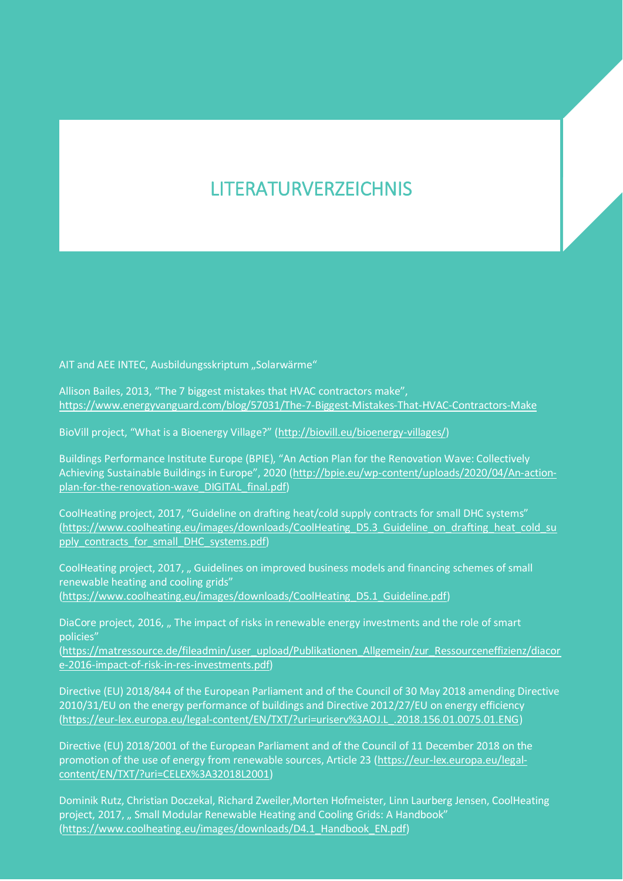## LITERATURVERZEICHNIS

AIT and AEE INTEC, Ausbildungsskriptum "Solarwärme"

Allison Bailes, 2013, "The 7 biggest mistakes that HVAC contractors make", https://www.energyvanguard.com/blog/57031/The-7-Biggest-Mistakes-That-HVAC-Contractors-Make

BioVill project, "What is a Bioenergy Village?" (http://biovill.eu/bioenergy-villages/)

Buildings Performance Institute Europe (BPIE), "An Action Plan for the Renovation Wave: Collectively Achieving Sustainable Buildings in Europe", 2020 (http://bpie.eu/wp-content/uploads/2020/04/An-actionplan-for-the-renovation-wave\_DIGITAL\_final.pdf)

CoolHeating project, 2017, "Guideline on drafting heat/cold supply contracts for small DHC systems" (https://www.coolheating.eu/images/downloads/CoolHeating\_D5.3\_Guideline\_on\_drafting\_heat\_cold\_su pply\_contracts\_for\_small\_DHC\_systems.pdf)

CoolHeating project, 2017, " Guidelines on improved business models and financing schemes of small renewable heating and cooling grids" (https://www.coolheating.eu/images/downloads/CoolHeating\_D5.1\_Guideline.pdf)

DiaCore project, 2016, " The impact of risks in renewable energy investments and the role of smart policies"

(https://matressource.de/fileadmin/user\_upload/Publikationen\_Allgemein/zur\_Ressourceneffizienz/diacor e-2016-impact-of-risk-in-res-investments.pdf)

Directive (EU) 2018/844 of the European Parliament and of the Council of 30 May 2018 amending Directive 2010/31/EU on the energy performance of buildings and Directive 2012/27/EU on energy efficiency (https://eur-lex.europa.eu/legal-content/EN/TXT/?uri=uriserv%3AOJ.L\_.2018.156.01.0075.01.ENG)

Directive (EU) 2018/2001 of the European Parliament and of the Council of 11 December 2018 on the promotion of the use of energy from renewable sources, Article 23 (https://eur-lex.europa.eu/legalcontent/EN/TXT/?uri=CELEX%3A32018L2001)

Dominik Rutz, Christian Doczekal, Richard Zweiler,Morten Hofmeister, Linn Laurberg Jensen, CoolHeating project, 2017, " Small Modular Renewable Heating and Cooling Grids: A Handbook" (https://www.coolheating.eu/images/downloads/D4.1\_Handbook\_EN.pdf)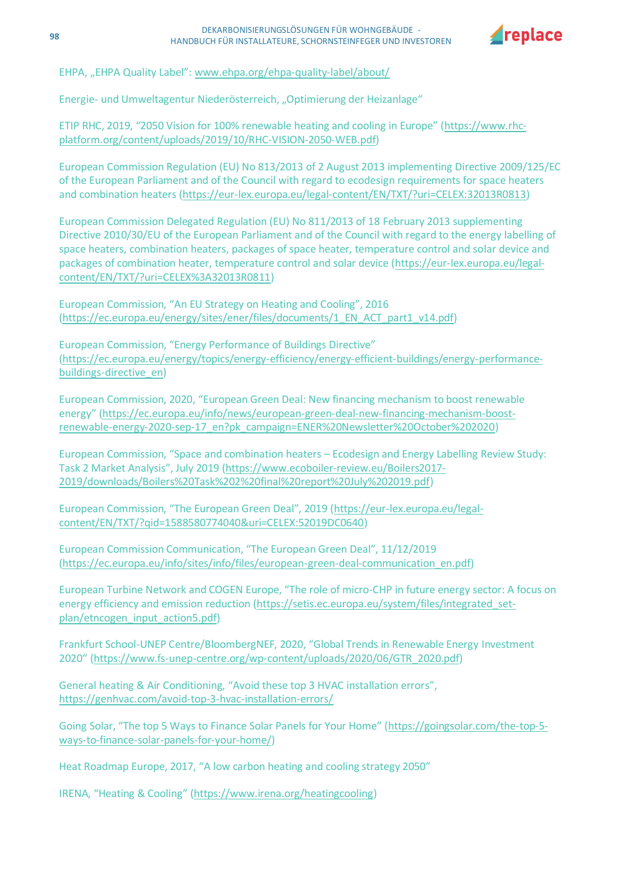

EHPA, "EHPA Quality Label": www.ehpa.org/ehpa-quality-label/about/

Energie- und Umweltagentur Niederösterreich, "Optimierung der Heizanlage"

ETIP RHC, 2019, "2050 Vision for 100% renewable heating and cooling in Europe" (https://www.rhcplatform.org/content/uploads/2019/10/RHC-VISION-2050-WEB.pdf)

European Commission Regulation (EU) No 813/2013 of 2 August 2013 implementing Directive 2009/125/EC of the European Parliament and of the Council with regard to ecodesign requirements for space heaters and combination heaters (https://eur-lex.europa.eu/legal-content/EN/TXT/?uri=CELEX:32013R0813)

European Commission Delegated Regulation (EU) No 811/2013 of 18 February 2013 supplementing Directive 2010/30/EU of the European Parliament and of the Council with regard to the energy labelling of space heaters, combination heaters, packages of space heater, temperature control and solar device and packages of combination heater, temperature control and solar device (https://eur-lex.europa.eu/legalcontent/EN/TXT/?uri=CELEX%3A32013R0811)

European Commission, "An EU Strategy on Heating and Cooling", 2016 (https://ec.europa.eu/energy/sites/ener/files/documents/1\_EN\_ACT\_part1\_v14.pdf)

European Commission, "Energy Performance of Buildings Directive" (https://ec.europa.eu/energy/topics/energy-efficiency/energy-efficient-buildings/energy-performancebuildings-directive\_en)

European Commission, 2020, "European Green Deal: New financing mechanism to boost renewable energy" (https://ec.europa.eu/info/news/european-green-deal-new-financing-mechanism-boostrenewable-energy-2020-sep-17\_en?pk\_campaign=ENER%20Newsletter%20October%202020)

European Commission, "Space and combination heaters – Ecodesign and Energy Labelling Review Study: Task 2 Market Analysis", July 2019 (https://www.ecoboiler-review.eu/Boilers2017- 2019/downloads/Boilers%20Task%202%20final%20report%20July%202019.pdf)

European Commission, "The European Green Deal", 2019 (https://eur-lex.europa.eu/legalcontent/EN/TXT/?qid=1588580774040&uri=CELEX:52019DC0640)

European Commission Communication, "The European Green Deal", 11/12/2019 (https://ec.europa.eu/info/sites/info/files/european-green-deal-communication\_en.pdf)

European Turbine Network and COGEN Europe, "The role of micro-CHP in future energy sector: A focus on energy efficiency and emission reduction (https://setis.ec.europa.eu/system/files/integrated\_setplan/etncogen\_input\_action5.pdf)

Frankfurt School-UNEP Centre/BloombergNEF, 2020, "Global Trends in Renewable Energy Investment 2020" (https://www.fs-unep-centre.org/wp-content/uploads/2020/06/GTR\_2020.pdf)

General heating & Air Conditioning, "Avoid these top 3 HVAC installation errors", https://genhvac.com/avoid-top-3-hvac-installation-errors/

Going Solar, "The top 5 Ways to Finance Solar Panels for Your Home" (https://goingsolar.com/the-top-5 ways-to-finance-solar-panels-for-your-home/)

Heat Roadmap Europe, 2017, "A low carbon heating and cooling strategy 2050"

IRENA, "Heating & Cooling" (https://www.irena.org/heatingcooling)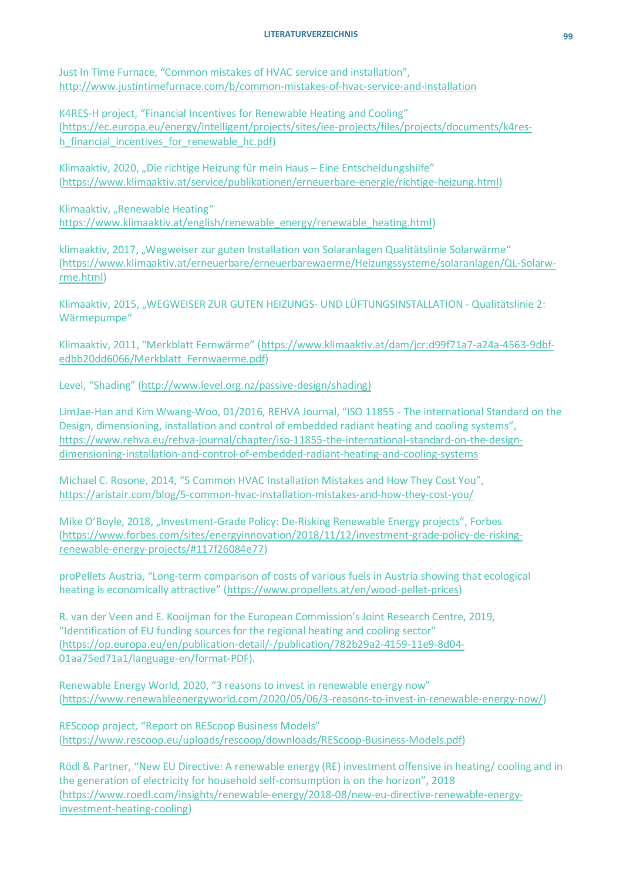## **LITERATURVERZEICHNIS 99**

Just In Time Furnace, "Common mistakes of HVAC service and installation", http://www.justintimefurnace.com/b/common-mistakes-of-hvac-service-and-installation

K4RES-H project, "Financial Incentives for Renewable Heating and Cooling" (https://ec.europa.eu/energy/intelligent/projects/sites/iee-projects/files/projects/documents/k4resh financial incentives for renewable hc.pdf)

Klimaaktiv, 2020, "Die richtige Heizung für mein Haus – Eine Entscheidungshilfe" (https://www.klimaaktiv.at/service/publikationen/erneuerbare-energie/richtige-heizung.html)

Klimaaktiv, "Renewable Heating" https://www.klimaaktiv.at/english/renewable\_energy/renewable\_heating.html)

klimaaktiv, 2017, "Wegweiser zur guten Installation von Solaranlagen Qualitätslinie Solarwärme" (https://www.klimaaktiv.at/erneuerbare/erneuerbarewaerme/Heizungssysteme/solaranlagen/QL-Solarwrme.html)

Klimaaktiv, 2015, "WEGWEISER ZUR GUTEN HEIZUNGS- UND LÜFTUNGSINSTALLATION - Qualitätslinie 2: Wärmepumpe"

Klimaaktiv, 2011, "Merkblatt Fernwärme" (https://www.klimaaktiv.at/dam/jcr:d99f71a7-a24a-4563-9dbfedbb20dd6066/Merkblatt\_Fernwaerme.pdf)

Level, "Shading" (http://www.level.org.nz/passive-design/shading)

LimJae-Han and Kim Wwang-Woo, 01/2016, REHVA Journal, "ISO 11855 - The international Standard on the Design, dimensioning, installation and control of embedded radiant heating and cooling systems", https://www.rehva.eu/rehva-journal/chapter/iso-11855-the-international-standard-on-the-designdimensioning-installation-and-control-of-embedded-radiant-heating-and-cooling-systems

Michael C. Rosone, 2014, "5 Common HVAC Installation Mistakes and How They Cost You", https://aristair.com/blog/5-common-hvac-installation-mistakes-and-how-they-cost-you/

Mike O'Boyle, 2018, "Investment-Grade Policy: De-Risking Renewable Energy projects", Forbes (https://www.forbes.com/sites/energyinnovation/2018/11/12/investment-grade-policy-de-riskingrenewable-energy-projects/#117f26084e77)

proPellets Austria, "Long-term comparison of costs of various fuels in Austria showing that ecological heating is economically attractive" (https://www.propellets.at/en/wood-pellet-prices)

R. van der Veen and E. Kooijman for the European Commission's Joint Research Centre, 2019, "Identification of EU funding sources for the regional heating and cooling sector" (https://op.europa.eu/en/publication-detail/-/publication/782b29a2-4159-11e9-8d04- 01aa75ed71a1/language-en/format-PDF).

Renewable Energy World, 2020, "3 reasons to invest in renewable energy now" (https://www.renewableenergyworld.com/2020/05/06/3-reasons-to-invest-in-renewable-energy-now/)

REScoop project, "Report on REScoop Business Models" (https://www.rescoop.eu/uploads/rescoop/downloads/REScoop-Business-Models.pdf)

Rödl & Partner, "New EU Directive: A renewable energy (RE) investment offensive in heating/ cooling and in the generation of electricity for household self-consumption is on the horizon", 2018 (https://www.roedl.com/insights/renewable-energy/2018-08/new-eu-directive-renewable-energyinvestment-heating-cooling)